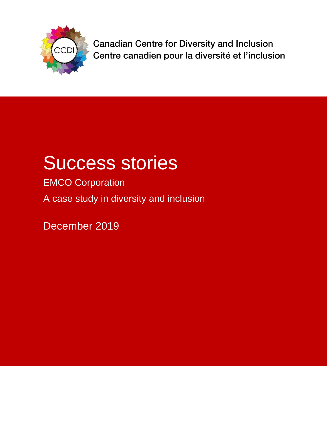

**Canadian Centre for Diversity and Inclusion** Centre canadien pour la diversité et l'inclusion

# Success stories

EMCO Corporation A case study in diversity and inclusion

December 2019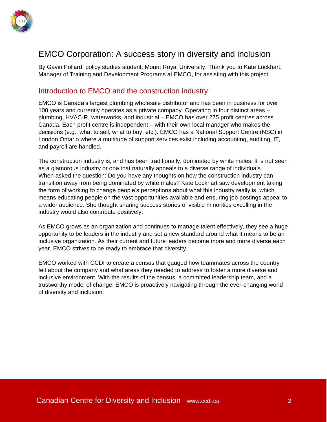

# EMCO Corporation: A success story in diversity and inclusion

By Gavin Pollard, policy studies student, Mount Royal University. Thank you to Kate Lockhart, Manager of Training and Development Programs at EMCO, for assisting with this project.

#### Introduction to EMCO and the construction industry

EMCO is Canada's largest plumbing wholesale distributor and has been in business for over 100 years and currently operates as a private company. Operating in four distinct areas – plumbing, HVAC-R, waterworks, and industrial – EMCO has over 275 profit centres across Canada. Each profit centre is independent – with their own local manager who makes the decisions (e.g., what to sell, what to buy, etc.). EMCO has a National Support Centre (NSC) in London Ontario where a multitude of support services exist including accounting, auditing, IT, and payroll are handled.

The construction industry is, and has been traditionally, dominated by white males. It is not seen as a glamorous industry or one that naturally appeals to a diverse range of individuals. When asked the question: Do you have any thoughts on how the construction industry can transition away from being dominated by white males? Kate Lockhart saw development taking the form of working to change people's perceptions about what this industry really is, which means educating people on the vast opportunities available and ensuring job postings appeal to a wider audience. She thought sharing success stories of visible minorities excelling in the industry would also contribute positively.

As EMCO grows as an organization and continues to manage talent effectively, they see a huge opportunity to be leaders in the industry and set a new standard around what it means to be an inclusive organization. As their current and future leaders become more and more diverse each year, EMCO strives to be ready to embrace that diversity.

EMCO worked with CCDI to create a census that gauged how teammates across the country felt about the company and what areas they needed to address to foster a more diverse and inclusive environment. With the results of the census, a committed leadership team, and a trustworthy model of change, EMCO is proactively navigating through the ever-changing world of diversity and inclusion.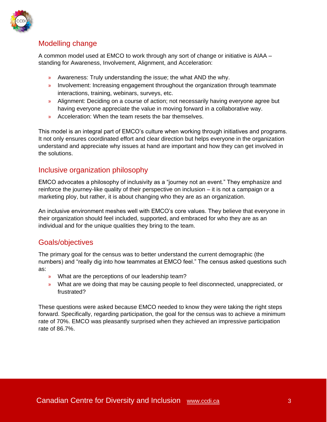

# Modelling change

A common model used at EMCO to work through any sort of change or initiative is AIAA – standing for Awareness, Involvement, Alignment, and Acceleration:

- » Awareness: Truly understanding the issue; the what AND the why.
- » Involvement: Increasing engagement throughout the organization through teammate interactions, training, webinars, surveys, etc.
- » Alignment: Deciding on a course of action; not necessarily having everyone agree but having everyone appreciate the value in moving forward in a collaborative way.
- » Acceleration: When the team resets the bar themselves.

This model is an integral part of EMCO's culture when working through initiatives and programs. It not only ensures coordinated effort and clear direction but helps everyone in the organization understand and appreciate why issues at hand are important and how they can get involved in the solutions.

### Inclusive organization philosophy

EMCO advocates a philosophy of inclusivity as a "journey not an event." They emphasize and reinforce the journey-like quality of their perspective on inclusion – it is not a campaign or a marketing ploy, but rather, it is about changing who they are as an organization.

An inclusive environment meshes well with EMCO's core values. They believe that everyone in their organization should feel included, supported, and embraced for who they are as an individual and for the unique qualities they bring to the team.

# Goals/objectives

The primary goal for the census was to better understand the current demographic (the numbers) and "really dig into how teammates at EMCO feel." The census asked questions such as:

- » What are the perceptions of our leadership team?
- » What are we doing that may be causing people to feel disconnected, unappreciated, or frustrated?

These questions were asked because EMCO needed to know they were taking the right steps forward. Specifically, regarding participation, the goal for the census was to achieve a minimum rate of 70%. EMCO was pleasantly surprised when they achieved an impressive participation rate of 86.7%.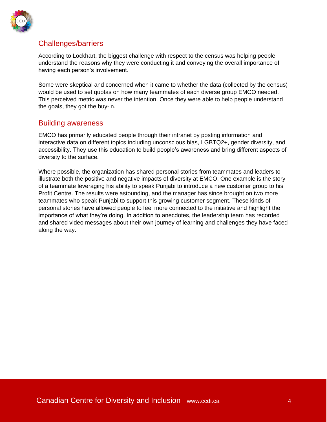

# Challenges/barriers

According to Lockhart, the biggest challenge with respect to the census was helping people understand the reasons why they were conducting it and conveying the overall importance of having each person's involvement.

Some were skeptical and concerned when it came to whether the data (collected by the census) would be used to set quotas on how many teammates of each diverse group EMCO needed. This perceived metric was never the intention. Once they were able to help people understand the goals, they got the buy-in.

#### Building awareness

EMCO has primarily educated people through their intranet by posting information and interactive data on different topics including unconscious bias, LGBTQ2+, gender diversity, and accessibility. They use this education to build people's awareness and bring different aspects of diversity to the surface.

Where possible, the organization has shared personal stories from teammates and leaders to illustrate both the positive and negative impacts of diversity at EMCO. One example is the story of a teammate leveraging his ability to speak Punjabi to introduce a new customer group to his Profit Centre. The results were astounding, and the manager has since brought on two more teammates who speak Punjabi to support this growing customer segment. These kinds of personal stories have allowed people to feel more connected to the initiative and highlight the importance of what they're doing. In addition to anecdotes, the leadership team has recorded and shared video messages about their own journey of learning and challenges they have faced along the way.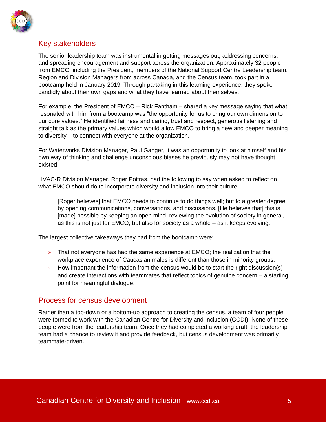

# Key stakeholders

The senior leadership team was instrumental in getting messages out, addressing concerns, and spreading encouragement and support across the organization. Approximately 32 people from EMCO, including the President, members of the National Support Centre Leadership team, Region and Division Managers from across Canada, and the Census team, took part in a bootcamp held in January 2019. Through partaking in this learning experience, they spoke candidly about their own gaps and what they have learned about themselves.

For example, the President of EMCO – Rick Fantham – shared a key message saying that what resonated with him from a bootcamp was "the opportunity for us to bring our own dimension to our core values." He identified fairness and caring, trust and respect, generous listening and straight talk as the primary values which would allow EMCO to bring a new and deeper meaning to diversity – to connect with everyone at the organization.

For Waterworks Division Manager, Paul Ganger, it was an opportunity to look at himself and his own way of thinking and challenge unconscious biases he previously may not have thought existed.

HVAC-R Division Manager, Roger Poitras, had the following to say when asked to reflect on what EMCO should do to incorporate diversity and inclusion into their culture:

[Roger believes] that EMCO needs to continue to do things well; but to a greater degree by opening communications, conversations, and discussions. [He believes that] this is [made] possible by keeping an open mind, reviewing the evolution of society in general, as this is not just for EMCO, but also for society as a whole – as it keeps evolving.

The largest collective takeaways they had from the bootcamp were:

- » That not everyone has had the same experience at EMCO; the realization that the workplace experience of Caucasian males is different than those in minority groups.
- » How important the information from the census would be to start the right discussion(s) and create interactions with teammates that reflect topics of genuine concern – a starting point for meaningful dialogue.

#### Process for census development

Rather than a top-down or a bottom-up approach to creating the census, a team of four people were formed to work with the Canadian Centre for Diversity and Inclusion (CCDI). None of these people were from the leadership team. Once they had completed a working draft, the leadership team had a chance to review it and provide feedback, but census development was primarily teammate-driven.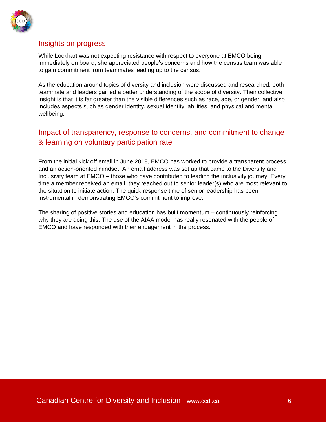

### Insights on progress

While Lockhart was not expecting resistance with respect to everyone at EMCO being immediately on board, she appreciated people's concerns and how the census team was able to gain commitment from teammates leading up to the census.

As the education around topics of diversity and inclusion were discussed and researched, both teammate and leaders gained a better understanding of the scope of diversity. Their collective insight is that it is far greater than the visible differences such as race, age, or gender; and also includes aspects such as gender identity, sexual identity, abilities, and physical and mental wellbeing.

# Impact of transparency, response to concerns, and commitment to change & learning on voluntary participation rate

From the initial kick off email in June 2018, EMCO has worked to provide a transparent process and an action-oriented mindset. An email address was set up that came to the Diversity and Inclusivity team at EMCO – those who have contributed to leading the inclusivity journey. Every time a member received an email, they reached out to senior leader(s) who are most relevant to the situation to initiate action. The quick response time of senior leadership has been instrumental in demonstrating EMCO's commitment to improve.

The sharing of positive stories and education has built momentum – continuously reinforcing why they are doing this. The use of the AIAA model has really resonated with the people of EMCO and have responded with their engagement in the process.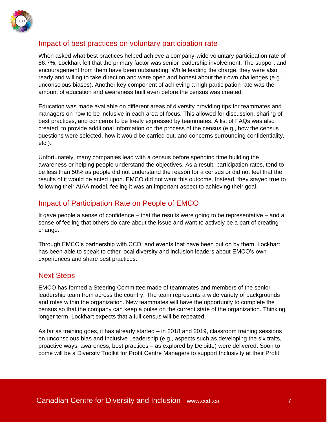

## Impact of best practices on voluntary participation rate

When asked what best practices helped achieve a company-wide voluntary participation rate of 86.7%, Lockhart felt that the primary factor was senior leadership involvement. The support and encouragement from them have been outstanding. While leading the charge, they were also ready and willing to take direction and were open and honest about their own challenges (e.g. unconscious biases). Another key component of achieving a high participation rate was the amount of education and awareness built even before the census was created.

Education was made available on different areas of diversity providing tips for teammates and managers on how to be inclusive in each area of focus. This allowed for discussion, sharing of best practices, and concerns to be freely expressed by teammates. A list of FAQs was also created, to provide additional information on the process of the census (e.g., how the census questions were selected, how it would be carried out, and concerns surrounding confidentiality, etc.).

Unfortunately, many companies lead with a census before spending time building the awareness or helping people understand the objectives. As a result, participation rates, tend to be less than 50% as people did not understand the reason for a census or did not feel that the results of it would be acted upon. EMCO did not want this outcome. Instead, they stayed true to following their AIAA model, feeling it was an important aspect to achieving their goal.

### Impact of Participation Rate on People of EMCO

It gave people a sense of confidence – that the results were going to be representative – and a sense of feeling that others do care about the issue and want to actively be a part of creating change.

Through EMCO's partnership with CCDI and events that have been put on by them, Lockhart has been able to speak to other local diversity and inclusion leaders about EMCO's own experiences and share best practices.

#### Next Steps

EMCO has formed a Steering Committee made of teammates and members of the senior leadership team from across the country. The team represents a wide variety of backgrounds and roles within the organization. New teammates will have the opportunity to complete the census so that the company can keep a pulse on the current state of the organization. Thinking longer term, Lockhart expects that a full census will be repeated.

As far as training goes, it has already started – in 2018 and 2019, classroom training sessions on unconscious bias and Inclusive Leadership (e.g., aspects such as developing the six traits, proactive ways, awareness, best practices – as explored by Deloitte) were delivered. Soon to come will be a Diversity Toolkit for Profit Centre Managers to support Inclusivity at their Profit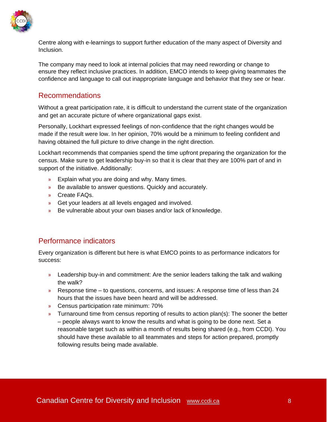

Centre along with e-learnings to support further education of the many aspect of Diversity and Inclusion.

The company may need to look at internal policies that may need rewording or change to ensure they reflect inclusive practices. In addition, EMCO intends to keep giving teammates the confidence and language to call out inappropriate language and behavior that they see or hear.

#### Recommendations

Without a great participation rate, it is difficult to understand the current state of the organization and get an accurate picture of where organizational gaps exist.

Personally, Lockhart expressed feelings of non-confidence that the right changes would be made if the result were low. In her opinion, 70% would be a minimum to feeling confident and having obtained the full picture to drive change in the right direction.

Lockhart recommends that companies spend the time upfront preparing the organization for the census. Make sure to get leadership buy-in so that it is clear that they are 100% part of and in support of the initiative. Additionally:

- » Explain what you are doing and why. Many times.
- » Be available to answer questions. Quickly and accurately.
- » Create FAQs.
- » Get your leaders at all levels engaged and involved.
- » Be vulnerable about your own biases and/or lack of knowledge.

### Performance indicators

Every organization is different but here is what EMCO points to as performance indicators for success:

- » Leadership buy-in and commitment: Are the senior leaders talking the talk and walking the walk?
- » Response time to questions, concerns, and issues: A response time of less than 24 hours that the issues have been heard and will be addressed.
- » Census participation rate minimum: 70%
- » Turnaround time from census reporting of results to action plan(s): The sooner the better – people always want to know the results and what is going to be done next. Set a reasonable target such as within a month of results being shared (e.g., from CCDI). You should have these available to all teammates and steps for action prepared, promptly following results being made available.